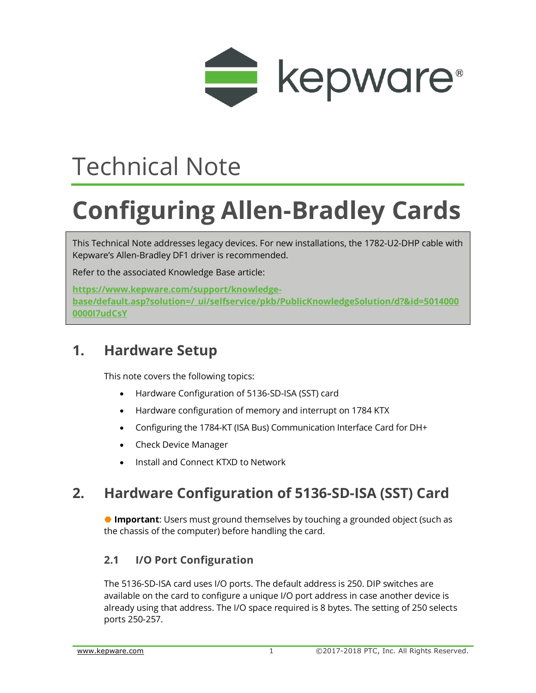

# Technical Note

# **Configuring Allen-Bradley Cards**

This Technical Note addresses legacy devices. For new installations, the 1782-U2-DHP cable with Kepware's Allen-Bradley DF1 driver is recommended.

Refer to the associated Knowledge Base article:

**https://www.kepware.com/support/knowledgebase/default.asp?solution=/\_ui/selfservice/pkb/PublicKnowledgeSolution/d?&id=5014000 0000I7udCsY**

## **1. Hardware Setup**

This note covers the following topics:

- [Hardware Configuration of 5136-SD-ISA \(SST\) card](file:///C:/WIP/TechNotes_KB/GENDOC-580/Hardware_Configuration_of_5136-SD-ISA_(SST)_card.htm)
- [Hardware configuration of memory and interrupt on 1784 KTX](file:///C:/WIP/TechNotes_KB/GENDOC-580/Configuring_memory_and_interrupt_on_1784_KTX.htm)
- [Configuring the 1784-KT \(ISA Bus\) Communication Interface Card for DH+](file:///C:/WIP/TechNotes_KB/GENDOC-580/Configuring_the_1784-KT_(ISA_Bus)_Communication_Interface_Card_for_DH+.htm)
- [Check Device Manager](file:///C:/WIP/TechNotes_KB/GENDOC-580/Check_Device_Manager.htm)
- [Install and Connect KTXD to Network](file:///C:/WIP/TechNotes_KB/GENDOC-580/Install_and_Connect_KTXD_to_Network.htm)

# **2. Hardware Configuration of 5136-SD-ISA (SST) Card**

 **Important**: Users must ground themselves by touching a grounded object (such as the chassis of the computer) before handling the card.

## **2.1 I/O Port Configuration**

The 5136-SD-ISA card uses I/O ports. The default address is 250. DIP switches are available on the card to configure a unique I/O port address in case another device is already using that address. The I/O space required is 8 bytes. The setting of 250 selects ports 250-257.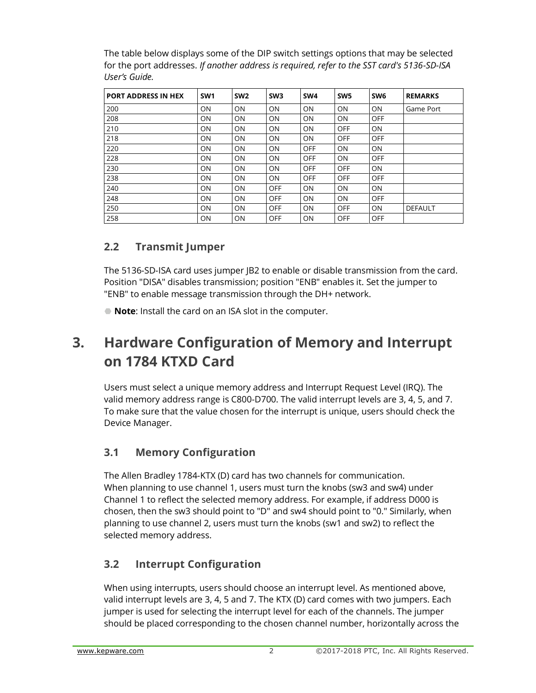The table below displays some of the DIP switch settings options that may be selected for the port addresses. *If another address is required, refer to the SST card's 5136-SD-ISA User's Guide.*

| <b>PORT ADDRESS IN HEX</b> | SW <sub>1</sub> | SW <sub>2</sub> | SW <sub>3</sub> | SW <sub>4</sub> | SW <sub>5</sub> | SW <sub>6</sub> | <b>REMARKS</b> |
|----------------------------|-----------------|-----------------|-----------------|-----------------|-----------------|-----------------|----------------|
| 200                        | ON              | ON              | ON              | <b>ON</b>       | ON              | ON              | Game Port      |
| 208                        | ON              | ON              | ON              | <b>ON</b>       | <b>ON</b>       | <b>OFF</b>      |                |
| 210                        | ON              | ON              | <b>ON</b>       | <b>ON</b>       | OFF             | ON              |                |
| 218                        | ON              | ON              | ON              | <b>ON</b>       | <b>OFF</b>      | <b>OFF</b>      |                |
| 220                        | ON              | ON              | ON              | <b>OFF</b>      | ON              | ON              |                |
| 228                        | ON              | ON              | ON              | <b>OFF</b>      | <b>ON</b>       | <b>OFF</b>      |                |
| 230                        | ON              | ON              | ON              | <b>OFF</b>      | <b>OFF</b>      | ON              |                |
| 238                        | ON              | ON              | ON              | <b>OFF</b>      | <b>OFF</b>      | <b>OFF</b>      |                |
| 240                        | ON              | ON              | <b>OFF</b>      | <b>ON</b>       | <b>ON</b>       | ON              |                |
| 248                        | ON              | ON              | <b>OFF</b>      | <b>ON</b>       | ON              | <b>OFF</b>      |                |
| 250                        | ON              | ON              | <b>OFF</b>      | <b>ON</b>       | <b>OFF</b>      | ON              | <b>DEFAULT</b> |
| 258                        | ON              | ON              | OFF             | ON              | <b>OFF</b>      | <b>OFF</b>      |                |

## **2.2 Transmit Jumper**

The 5136-SD-ISA card uses jumper JB2 to enable or disable transmission from the card. Position "DISA" disables transmission; position "ENB" enables it. Set the jumper to "ENB" to enable message transmission through the DH+ network.

**Note**: Install the card on an ISA slot in the computer.

# **3. Hardware Configuration of Memory and Interrupt on 1784 KTXD Card**

Users must select a unique memory address and Interrupt Request Level (IRQ). The valid memory address range is C800-D700. The valid interrupt levels are 3, 4, 5, and 7. To make sure that the value chosen for the interrupt is unique, users should check the Device Manager.

## **3.1 Memory Configuration**

The Allen Bradley 1784-KTX (D) card has two channels for communication. When planning to use channel 1, users must turn the knobs (sw3 and sw4) under Channel 1 to reflect the selected memory address. For example, if address D000 is chosen, then the sw3 should point to "D" and sw4 should point to "0." Similarly, when planning to use channel 2, users must turn the knobs (sw1 and sw2) to reflect the selected memory address.

## **3.2 Interrupt Configuration**

When using interrupts, users should choose an interrupt level. As mentioned above, valid interrupt levels are 3, 4, 5 and 7. The KTX (D) card comes with two jumpers. Each jumper is used for selecting the interrupt level for each of the channels. The jumper should be placed corresponding to the chosen channel number, horizontally across the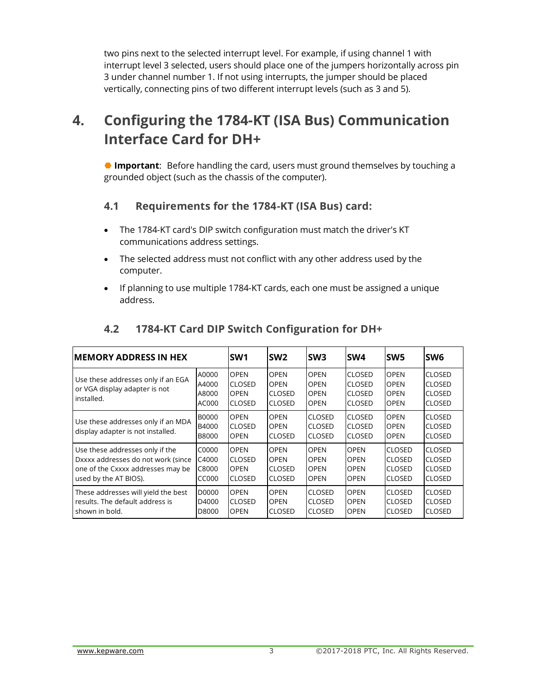two pins next to the selected interrupt level. For example, if using channel 1 with interrupt level 3 selected, users should place one of the jumpers horizontally across pin 3 under channel number 1. If not using interrupts, the jumper should be placed vertically, connecting pins of two different interrupt levels (such as 3 and 5).

# **4. Configuring the 1784-KT (ISA Bus) Communication Interface Card for DH+**

 **Important**: Before handling the card, users must ground themselves by touching a grounded object (such as the chassis of the computer).

#### **4.1 Requirements for the 1784-KT (ISA Bus) card:**

- The 1784-KT card's DIP switch configuration must match the driver's KT communications address settings.
- The selected address must not conflict with any other address used by the computer.
- If planning to use multiple 1784-KT cards, each one must be assigned a unique address.

| <b>MEMORY ADDRESS IN HEX</b>                                                                                                        |                                       | <b>SW1</b>                                                   | <b>SW2</b>                                                   | SW <sub>3</sub>                                          | SW <sub>4</sub>                                                  | SW <sub>5</sub>                                                  | <b>SW6</b>                                                       |
|-------------------------------------------------------------------------------------------------------------------------------------|---------------------------------------|--------------------------------------------------------------|--------------------------------------------------------------|----------------------------------------------------------|------------------------------------------------------------------|------------------------------------------------------------------|------------------------------------------------------------------|
| Use these addresses only if an EGA<br>or VGA display adapter is not<br>installed.                                                   | A0000<br>A4000<br>A8000<br>AC000      | <b>OPEN</b><br><b>CLOSED</b><br><b>OPEN</b><br><b>CLOSED</b> | <b>OPEN</b><br><b>OPEN</b><br><b>CLOSED</b><br><b>CLOSED</b> | <b>OPEN</b><br><b>OPEN</b><br><b>OPEN</b><br><b>OPEN</b> | <b>CLOSED</b><br><b>CLOSED</b><br><b>CLOSED</b><br><b>CLOSED</b> | <b>OPEN</b><br><b>OPEN</b><br><b>OPEN</b><br><b>OPEN</b>         | <b>CLOSED</b><br><b>CLOSED</b><br><b>CLOSED</b><br><b>CLOSED</b> |
| Use these addresses only if an MDA<br>display adapter is not installed.                                                             | <b>B0000</b><br>B4000<br><b>B8000</b> | <b>OPEN</b><br><b>CLOSED</b><br><b>OPEN</b>                  | <b>OPEN</b><br><b>OPEN</b><br><b>CLOSED</b>                  | <b>CLOSED</b><br><b>CLOSED</b><br><b>CLOSED</b>          | <b>CLOSED</b><br><b>CLOSED</b><br><b>CLOSED</b>                  | <b>OPEN</b><br><b>OPEN</b><br><b>OPEN</b>                        | <b>CLOSED</b><br><b>CLOSED</b><br><b>CLOSED</b>                  |
| Use these addresses only if the<br>Dxxxx addresses do not work (since<br>one of the Cxxxx addresses may be<br>used by the AT BIOS). | C0000<br>C4000<br>C8000<br>CC000      | <b>OPEN</b><br><b>CLOSED</b><br><b>OPEN</b><br><b>CLOSED</b> | <b>OPEN</b><br><b>OPEN</b><br><b>CLOSED</b><br><b>CLOSED</b> | <b>OPEN</b><br><b>OPEN</b><br><b>OPEN</b><br><b>OPEN</b> | <b>OPEN</b><br><b>OPEN</b><br><b>OPEN</b><br><b>OPEN</b>         | <b>CLOSED</b><br><b>CLOSED</b><br><b>CLOSED</b><br><b>CLOSED</b> | <b>CLOSED</b><br><b>CLOSED</b><br><b>CLOSED</b><br><b>CLOSED</b> |
| These addresses will yield the best<br>results. The default address is<br>shown in bold.                                            | D0000<br>D4000<br>D8000               | <b>OPEN</b><br><b>CLOSED</b><br><b>OPEN</b>                  | <b>OPEN</b><br><b>OPEN</b><br><b>CLOSED</b>                  | <b>CLOSED</b><br><b>CLOSED</b><br><b>CLOSED</b>          | <b>OPEN</b><br><b>OPEN</b><br><b>OPEN</b>                        | <b>CLOSED</b><br><b>CLOSED</b><br><b>CLOSED</b>                  | <b>CLOSED</b><br><b>CLOSED</b><br><b>CLOSED</b>                  |

#### **4.2 1784-KT Card DIP Switch Configuration for DH+**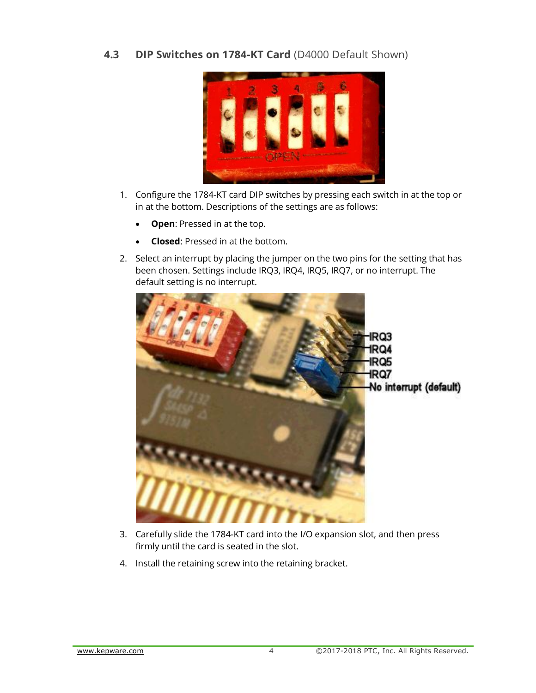**4.3 DIP Switches on 1784-KT Card** (D4000 Default Shown)



- 1. Configure the 1784-KT card DIP switches by pressing each switch in at the top or in at the bottom. Descriptions of the settings are as follows:
	- **Open**: Pressed in at the top.
	- **Closed**: Pressed in at the bottom.
- 2. Select an interrupt by placing the jumper on the two pins for the setting that has been chosen. Settings include IRQ3, IRQ4, IRQ5, IRQ7, or no interrupt. The default setting is no interrupt.



- 3. Carefully slide the 1784-KT card into the I/O expansion slot, and then press firmly until the card is seated in the slot.
- 4. Install the retaining screw into the retaining bracket.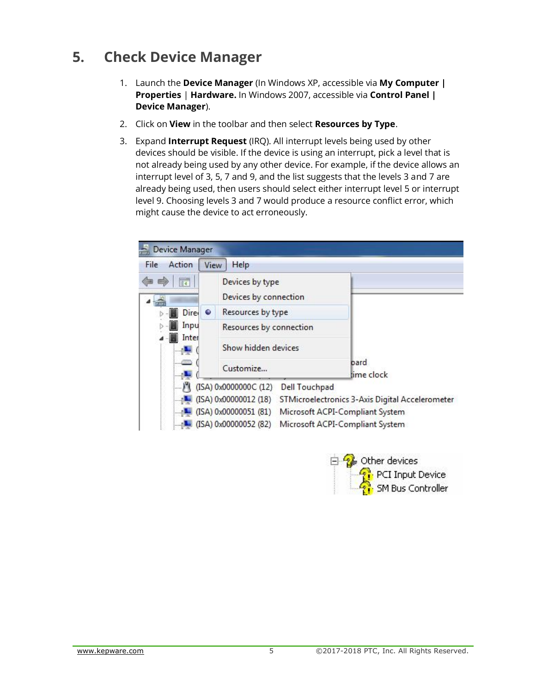# **5. Check Device Manager**

- 1. Launch the **Device Manager** (In Windows XP, accessible via **My Computer | Properties** | **Hardware.** In Windows 2007, accessible via **Control Panel | Device Manager**).
- 2. Click on **View** in the toolbar and then select **Resources by Type**.
- 3. Expand **Interrupt Request** (IRQ). All interrupt levels being used by other devices should be visible. If the device is using an interrupt, pick a level that is not already being used by any other device. For example, if the device allows an interrupt level of 3, 5, 7 and 9, and the list suggests that the levels 3 and 7 are already being used, then users should select either interrupt level 5 or interrupt level 9. Choosing levels 3 and 7 would produce a resource conflict error, which might cause the device to act erroneously.

| Device Manager |                                               |                                                 |
|----------------|-----------------------------------------------|-------------------------------------------------|
| Action<br>File | Help<br>View                                  |                                                 |
| 詞              | Devices by type<br>Devices by connection      |                                                 |
| Dire-<br>۰     | Resources by type                             |                                                 |
| Inpu<br>Inter  | Resources by connection                       |                                                 |
|                | Show hidden devices                           |                                                 |
| <b>Company</b> | Customize                                     | bard<br>time clock                              |
|                | (ISA) 0x0000000C (12)<br><b>Dell Touchpad</b> |                                                 |
|                | (ISA) 0x00000012 (18)                         | STMicroelectronics 3-Axis Digital Accelerometer |
|                | (ISA) 0x00000051 (81)                         | Microsoft ACPI-Compliant System                 |
|                | (ISA) 0x00000052 (82)                         | Microsoft ACPI-Compliant System                 |

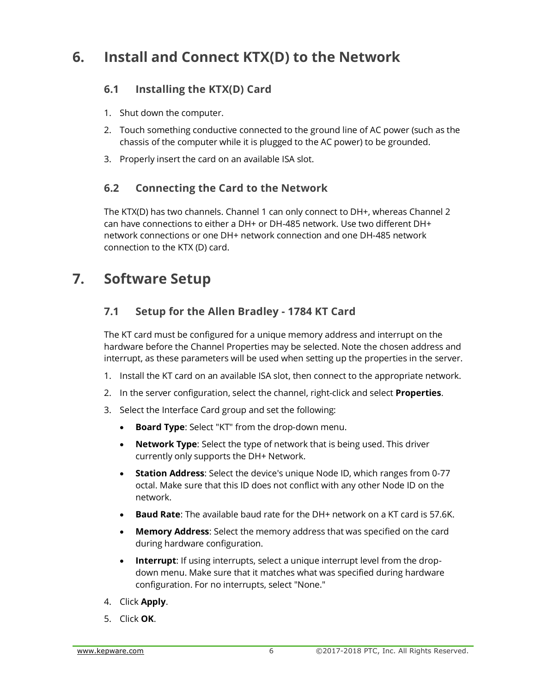# **6. Install and Connect KTX(D) to the Network**

## **6.1 Installing the KTX(D) Card**

- 1. Shut down the computer.
- 2. Touch something conductive connected to the ground line of AC power (such as the chassis of the computer while it is plugged to the AC power) to be grounded.
- 3. Properly insert the card on an available ISA slot.

## **6.2 Connecting the Card to the Network**

The KTX(D) has two channels. Channel 1 can only connect to DH+, whereas Channel 2 can have connections to either a DH+ or DH-485 network. Use two different DH+ network connections or one DH+ network connection and one DH-485 network connection to the KTX (D) card.

# **7. Software Setup**

## **7.1 Setup for the Allen Bradley - 1784 KT Card**

The KT card must be configured for a unique memory address and interrupt on the hardware before the Channel Properties may be selected. Note the chosen address and interrupt, as these parameters will be used when setting up the properties in the server.

- 1. Install the KT card on an available ISA slot, then connect to the appropriate network.
- 2. In the server configuration, select the channel, right-click and select **Properties**.
- 3. Select the Interface Card group and set the following:
	- **Board Type**: Select "KT" from the drop-down menu.
	- **Network Type**: Select the type of network that is being used. This driver currently only supports the DH+ Network.
	- **Station Address**: Select the device's unique Node ID, which ranges from 0-77 octal. Make sure that this ID does not conflict with any other Node ID on the network.
	- **Baud Rate**: The available baud rate for the DH+ network on a KT card is 57.6K.
	- **Memory Address**: Select the memory address that was specified on the card during hardware configuration.
	- **Interrupt**: If using interrupts, select a unique interrupt level from the dropdown menu. Make sure that it matches what was specified during hardware configuration. For no interrupts, select "None."
- 4. Click **Apply**.
- 5. Click **OK**.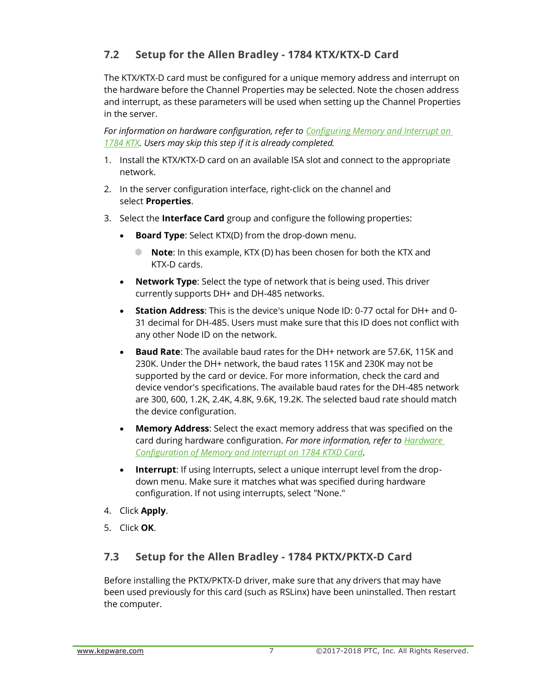## **7.2 Setup for the Allen Bradley - 1784 KTX/KTX-D Card**

The KTX/KTX-D card must be configured for a unique memory address and interrupt on the hardware before the Channel Properties may be selected. Note the chosen address and interrupt, as these parameters will be used when setting up the Channel Properties in the server.

*For information on hardware configuration, refer to [Configuring Memory and Interrupt on](file:///C:/WIP/Workspaces/KWS_KS_5.21_OEMS_QA/Help/Drivers/ALLENBRADLEY%20DATA%20HIGHWAY/Content/allenbradley_datahighway/Configuring_memory_and_interrupt_on_1784_KTX.htm)  [1784 KTX.](file:///C:/WIP/Workspaces/KWS_KS_5.21_OEMS_QA/Help/Drivers/ALLENBRADLEY%20DATA%20HIGHWAY/Content/allenbradley_datahighway/Configuring_memory_and_interrupt_on_1784_KTX.htm) Users may skip this step if it is already completed.*

- 1. Install the KTX/KTX-D card on an available ISA slot and connect to the appropriate network.
- 2. In the server configuration interface, right-click on the channel and select **Properties**.
- 3. Select the **Interface Card** group and configure the following properties:
	- **Board Type**: Select KTX(D) from the drop-down menu.
		- **Note**: In this example, KTX (D) has been chosen for both the KTX and KTX-D cards.
	- **Network Type**: Select the type of network that is being used. This driver currently supports DH+ and DH-485 networks.
	- **Station Address**: This is the device's unique Node ID: 0-77 octal for DH+ and 0- 31 decimal for DH-485. Users must make sure that this ID does not conflict with any other Node ID on the network.
	- **Baud Rate**: The available baud rates for the DH+ network are 57.6K, 115K and 230K. Under the DH+ network, the baud rates 115K and 230K may not be supported by the card or device. For more information, check the card and device vendor's specifications. The available baud rates for the DH-485 network are 300, 600, 1.2K, 2.4K, 4.8K, 9.6K, 19.2K. The selected baud rate should match the device configuration.
	- **Memory Address**: Select the exact memory address that was specified on the card during hardware configuration. *For more information, refer to [Hardware](file:///C:/WIP/Workspaces/KWS_KS_5.21_OEMS_QA/Help/Drivers/ALLENBRADLEY%20DATA%20HIGHWAY/Content/allenbradley_datahighway/Configuring_memory_and_interrupt_on_1784_KTX.htm)  [Configuration of Memory and Interrupt on 1784 KTXD Card.](file:///C:/WIP/Workspaces/KWS_KS_5.21_OEMS_QA/Help/Drivers/ALLENBRADLEY%20DATA%20HIGHWAY/Content/allenbradley_datahighway/Configuring_memory_and_interrupt_on_1784_KTX.htm)*
	- **Interrupt**: If using Interrupts, select a unique interrupt level from the dropdown menu. Make sure it matches what was specified during hardware configuration. If not using interrupts, select "None."
- 4. Click **Apply**.
- 5. Click **OK**.

## **7.3 Setup for the Allen Bradley - 1784 PKTX/PKTX-D Card**

Before installing the PKTX/PKTX-D driver, make sure that any drivers that may have been used previously for this card (such as RSLinx) have been uninstalled. Then restart the computer.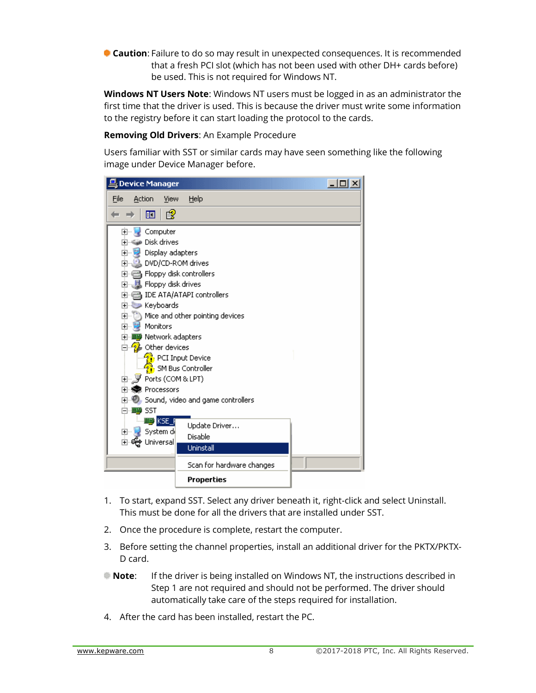**Caution**: Failure to do so may result in unexpected consequences. It is recommended that a fresh PCI slot (which has not been used with other DH+ cards before) be used. This is not required for Windows NT.

**Windows NT Users Note**: Windows NT users must be logged in as an administrator the first time that the driver is used. This is because the driver must write some information to the registry before it can start loading the protocol to the cards.

**Removing Old Drivers**: An Example Procedure

Users familiar with SST or similar cards may have seen something like the following image under Device Manager before.

| <b>L</b> , Device Manager                                                                                                                                                                                                                                                                                                                                                     |                                                                                                                                                                                              | $ \Box$ $\times$ |
|-------------------------------------------------------------------------------------------------------------------------------------------------------------------------------------------------------------------------------------------------------------------------------------------------------------------------------------------------------------------------------|----------------------------------------------------------------------------------------------------------------------------------------------------------------------------------------------|------------------|
| File<br>Action<br>View                                                                                                                                                                                                                                                                                                                                                        | Help                                                                                                                                                                                         |                  |
| ぽ<br>囸                                                                                                                                                                                                                                                                                                                                                                        |                                                                                                                                                                                              |                  |
| Computer<br><b>F</b><br>中 ● Disk drives<br>中 2 Display adapters<br>由 3 DVD/CD-ROM drives<br>由一目 Floppy disk controllers<br>由 _ 以 Floppy disk drives<br>E Keyboards<br>d ⊌<br>Monitors<br>田 - 田野 Network adapters<br>⊟ ⁄ aller devices<br>由…∭Ports (COM & LPT)<br>田· <b>森</b> Processors<br>⊟ <sup>…</sup> ⊞∰ SST<br>一理 KSE_R<br>-System d≬<br>田一島<br><del>ද</del> ී Universal | 由 (b) Mice and other pointing devices<br><b>PL</b> PCI Input Device<br>SM Bus Controller<br>$\boxplus$ $\bigcirc$ Sound, video and game controllers<br>Update Driver<br>Disable<br>Uninstall |                  |
|                                                                                                                                                                                                                                                                                                                                                                               | Scan for hardware changes                                                                                                                                                                    |                  |
|                                                                                                                                                                                                                                                                                                                                                                               | Properties                                                                                                                                                                                   |                  |

- 1. To start, expand SST. Select any driver beneath it, right-click and select Uninstall. This must be done for all the drivers that are installed under SST.
- 2. Once the procedure is complete, restart the computer.
- 3. Before setting the channel properties, install an additional driver for the PKTX/PKTX-D card.
- **Note**: If the driver is being installed on Windows NT, the instructions described in Step 1 are not required and should not be performed. The driver should automatically take care of the steps required for installation.
- 4. After the card has been installed, restart the PC.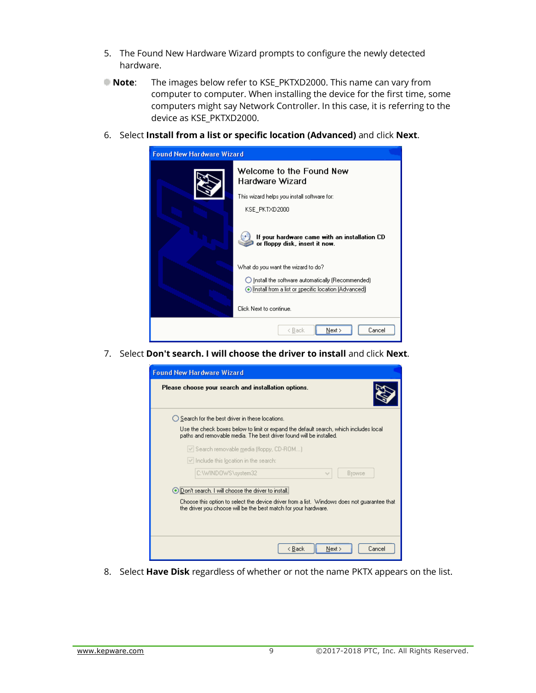- 5. The Found New Hardware Wizard prompts to configure the newly detected hardware.
- **Note**: The images below refer to KSE\_PKTXD2000. This name can vary from computer to computer. When installing the device for the first time, some computers might say Network Controller. In this case, it is referring to the device as KSE\_PKTXD2000.
- 6. Select **Install from a list or specific location (Advanced)** and click **Next**.

| <b>Found New Hardware Wizard</b> |                                                                                 |  |  |
|----------------------------------|---------------------------------------------------------------------------------|--|--|
|                                  | Welcome to the Found New<br>Hardware Wizard                                     |  |  |
|                                  | This wizard helps you install software for:-                                    |  |  |
|                                  | KSE PKTXD2000                                                                   |  |  |
|                                  | If your hardware came with an installation CD<br>or floppy disk, insert it now. |  |  |
|                                  | What do you want the wizard to do?                                              |  |  |
|                                  | ◯ Install the software automatically (Recommended)                              |  |  |
|                                  | nstall from a list or specific location (Advanced)                              |  |  |
|                                  | Click Next to continue.                                                         |  |  |
|                                  | Next ><br>Cancel<br>< Back                                                      |  |  |

7. Select **Don't search. I will choose the driver to install** and click **Next**.



8. Select **Have Disk** regardless of whether or not the name PKTX appears on the list.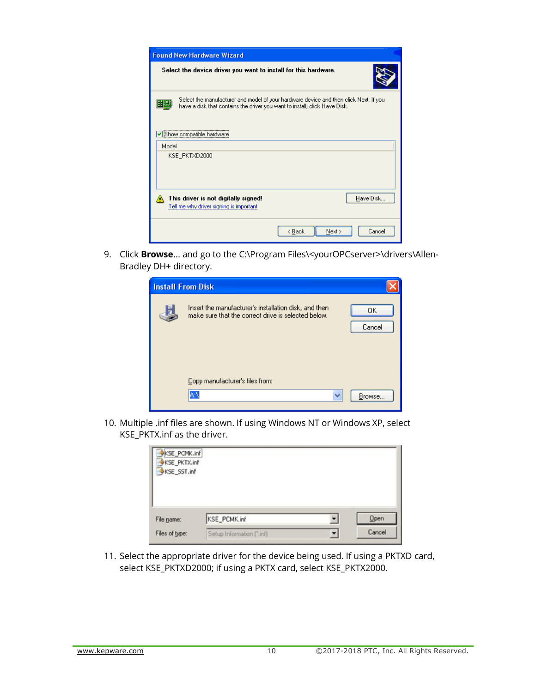| <b>Found New Hardware Wizard</b>                                                                                                                                          |  |  |  |
|---------------------------------------------------------------------------------------------------------------------------------------------------------------------------|--|--|--|
| Select the device driver you want to install for this hardware.                                                                                                           |  |  |  |
| Select the manufacturer and model of your hardware device and then click Next. If you<br>H.<br>have a disk that contains the driver you want to install, click Have Disk. |  |  |  |
| Show compatible hardware                                                                                                                                                  |  |  |  |
| Model                                                                                                                                                                     |  |  |  |
| KSE_PKTXD2000                                                                                                                                                             |  |  |  |
| Have Disk<br>This driver is not digitally signed!<br>Tell me why driver signing is important                                                                              |  |  |  |
| Cancel<br>< Back<br>Next >                                                                                                                                                |  |  |  |

9. Click **Browse**... and go to the C:\Program Files\<yourOPCserver>\drivers\Allen-Bradley DH+ directory.

| <b>Install From Disk</b>                                                                                     |              |
|--------------------------------------------------------------------------------------------------------------|--------------|
| Insert the manufacturer's installation disk, and then<br>make sure that the correct drive is selected below. | OΚ<br>Cancel |
| Copy manufacturer's files from:                                                                              | Browse       |

10. Multiple .inf files are shown. If using Windows NT or Windows XP, select KSE\_PKTX.inf as the driver.

| KSE_PCMK.inf<br>KSE_PKTX.inf<br>KSE_SST.inf |                          |             |
|---------------------------------------------|--------------------------|-------------|
| File name:                                  | KSE_PCMK.inf             | <b>Open</b> |
| Files of type:                              | Setup Information ("inf) | Cancel      |

11. Select the appropriate driver for the device being used. If using a PKTXD card, select KSE\_PKTXD2000; if using a PKTX card, select KSE\_PKTX2000.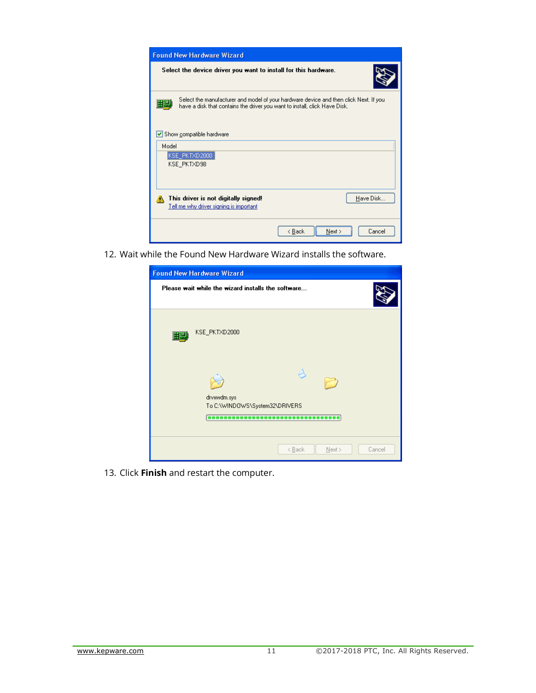

12. Wait while the Found New Hardware Wizard installs the software.

|    | <b>Found New Hardware Wizard</b>                   |  |  |  |  |
|----|----------------------------------------------------|--|--|--|--|
|    | Please wait while the wizard installs the software |  |  |  |  |
| 대판 | KSE_PKTXD2000                                      |  |  |  |  |
|    | drvxwdm.sys<br>To C:\WINDOWS\System32\DRIVERS<br>  |  |  |  |  |
|    | < <u>B</u> ack<br>Next ><br>Cancel                 |  |  |  |  |

13. Click **Finish** and restart the computer.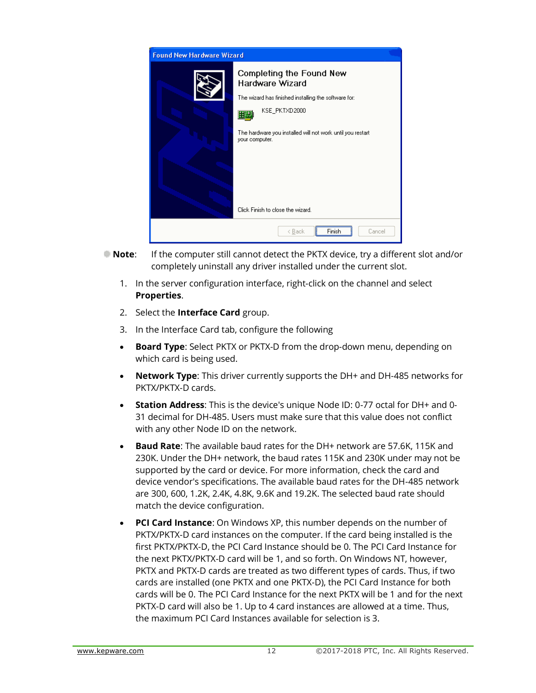| <b>Found New Hardware Wizard</b> |                                                                              |  |  |  |
|----------------------------------|------------------------------------------------------------------------------|--|--|--|
|                                  | Completing the Found New<br>Hardware Wizard                                  |  |  |  |
|                                  | The wizard has finished installing the software for:                         |  |  |  |
|                                  | KSE_PKTXD2000                                                                |  |  |  |
|                                  | The hardware you installed will not work until you restart<br>your computer. |  |  |  |
|                                  | Click Finish to close the wizard.                                            |  |  |  |
|                                  | Finish<br>< Back<br>Cancel                                                   |  |  |  |

- **Note**: If the computer still cannot detect the PKTX device, try a different slot and/or completely uninstall any driver installed under the current slot.
	- 1. In the server configuration interface, right-click on the channel and select **Properties**.
	- 2. Select the **Interface Card** group.
	- 3. In the Interface Card tab, configure the following
	- **Board Type**: Select PKTX or PKTX-D from the drop-down menu, depending on which card is being used.
	- **Network Type**: This driver currently supports the DH+ and DH-485 networks for PKTX/PKTX-D cards.
	- **Station Address**: This is the device's unique Node ID: 0-77 octal for DH+ and 0- 31 decimal for DH-485. Users must make sure that this value does not conflict with any other Node ID on the network.
	- **Baud Rate**: The available baud rates for the DH+ network are 57.6K, 115K and 230K. Under the DH+ network, the baud rates 115K and 230K under may not be supported by the card or device. For more information, check the card and device vendor's specifications. The available baud rates for the DH-485 network are 300, 600, 1.2K, 2.4K, 4.8K, 9.6K and 19.2K. The selected baud rate should match the device configuration.
	- **PCI Card Instance**: On Windows XP, this number depends on the number of PKTX/PKTX-D card instances on the computer. If the card being installed is the first PKTX/PKTX-D, the PCI Card Instance should be 0. The PCI Card Instance for the next PKTX/PKTX-D card will be 1, and so forth. On Windows NT, however, PKTX and PKTX-D cards are treated as two different types of cards. Thus, if two cards are installed (one PKTX and one PKTX-D), the PCI Card Instance for both cards will be 0. The PCI Card Instance for the next PKTX will be 1 and for the next PKTX-D card will also be 1. Up to 4 card instances are allowed at a time. Thus, the maximum PCI Card Instances available for selection is 3.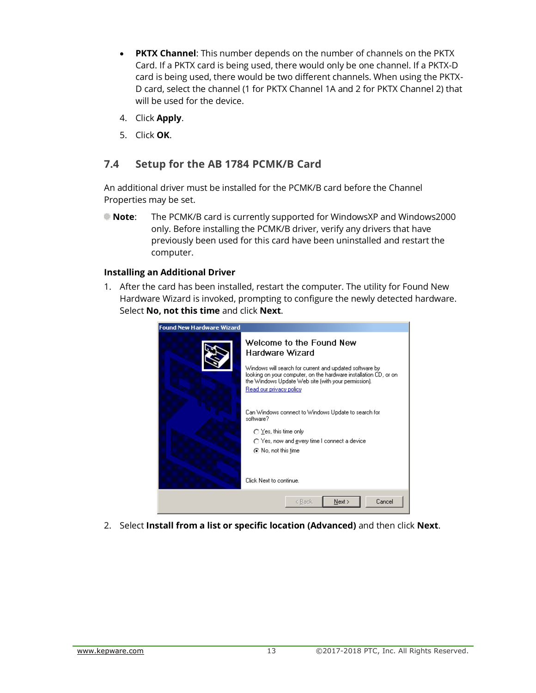- **PKTX Channel**: This number depends on the number of channels on the PKTX Card. If a PKTX card is being used, there would only be one channel. If a PKTX-D card is being used, there would be two different channels. When using the PKTX-D card, select the channel (1 for PKTX Channel 1A and 2 for PKTX Channel 2) that will be used for the device.
- 4. Click **Apply**.
- 5. Click **OK**.

#### **7.4 Setup for the AB 1784 PCMK/B Card**

An additional driver must be installed for the PCMK/B card before the Channel Properties may be set.

**Note**: The PCMK/B card is currently supported for WindowsXP and Windows2000 only. Before installing the PCMK/B driver, verify any drivers that have previously been used for this card have been uninstalled and restart the computer.

#### **Installing an Additional Driver**

1. After the card has been installed, restart the computer. The utility for Found New Hardware Wizard is invoked, prompting to configure the newly detected hardware. Select **No, not this time** and click **Next**.



2. Select **Install from a list or specific location (Advanced)** and then click **Next**.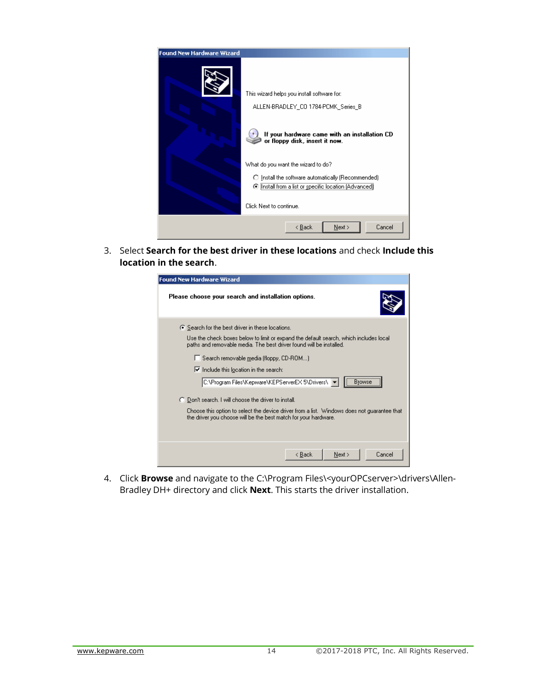

3. Select **Search for the best driver in these locations** and check **Include this location in the search**.

| <b>Found New Hardware Wizard</b>                                                                                                                               |  |  |  |  |
|----------------------------------------------------------------------------------------------------------------------------------------------------------------|--|--|--|--|
| Please choose your search and installation options.                                                                                                            |  |  |  |  |
| ⊙ Search for the best driver in these locations.                                                                                                               |  |  |  |  |
| Use the check boxes below to limit or expand the default search, which includes local<br>paths and removable media. The best driver found will be installed.   |  |  |  |  |
| $\Box$ Search removable media (floppy, CD-ROM)                                                                                                                 |  |  |  |  |
| $\triangleright$ Include this location in the search:                                                                                                          |  |  |  |  |
| C:\Program Files\Kepware\KEPServerEX 5\Drivers\   <br><b>Browse</b>                                                                                            |  |  |  |  |
| C Don't search. I will choose the driver to install.                                                                                                           |  |  |  |  |
| Choose this option to select the device driver from a list. Windows does not guarantee that<br>the driver you choose will be the best match for your hardware. |  |  |  |  |
|                                                                                                                                                                |  |  |  |  |
| Cancel<br>< Back<br>Next                                                                                                                                       |  |  |  |  |

4. Click **Browse** and navigate to the C:\Program Files\<yourOPCserver>\drivers\Allen-Bradley DH+ directory and click **Next**. This starts the driver installation.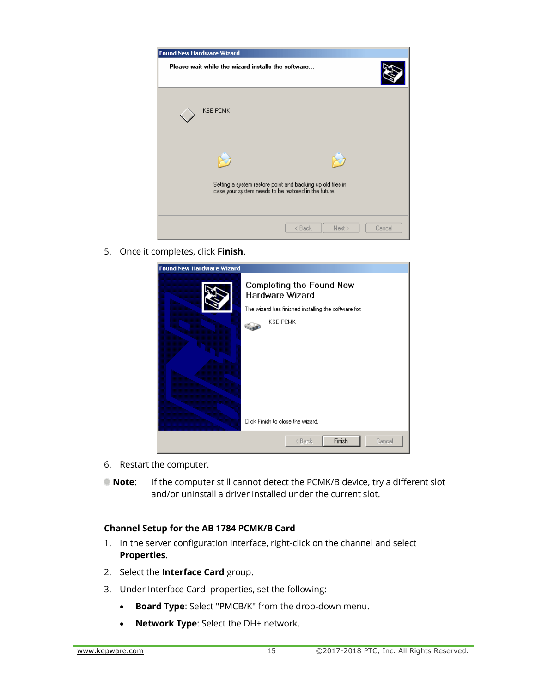| <b>Found New Hardware Wizard</b>                           |                            |
|------------------------------------------------------------|----------------------------|
| Please wait while the wizard installs the software         |                            |
| <b>KSE PCMK</b>                                            |                            |
| Setting a system restore point and backing up old files in |                            |
| case your system needs to be restored in the future.       |                            |
|                                                            | < Back<br>Next ><br>Cancel |

5. Once it completes, click **Finish**.

| <b>Found New Hardware Wizard</b> |                                                                                                                                                             |
|----------------------------------|-------------------------------------------------------------------------------------------------------------------------------------------------------------|
|                                  | Completing the Found New<br>Hardware Wizard<br>The wizard has finished installing the software for:<br><b>KSE PCMK</b><br>Click Finish to close the wizard. |
|                                  | Finish<br>Cancel<br>< Back                                                                                                                                  |
|                                  |                                                                                                                                                             |

- 6. Restart the computer.
- **Note**: If the computer still cannot detect the PCMK/B device, try a different slot and/or uninstall a driver installed under the current slot.

#### **Channel Setup for the AB 1784 PCMK/B Card**

- 1. In the server configuration interface, right-click on the channel and select **Properties**.
- 2. Select the **Interface Card** group.
- 3. Under Interface Card properties, set the following:
	- **Board Type**: Select "PMCB/K" from the drop-down menu.
	- **Network Type**: Select the DH+ network.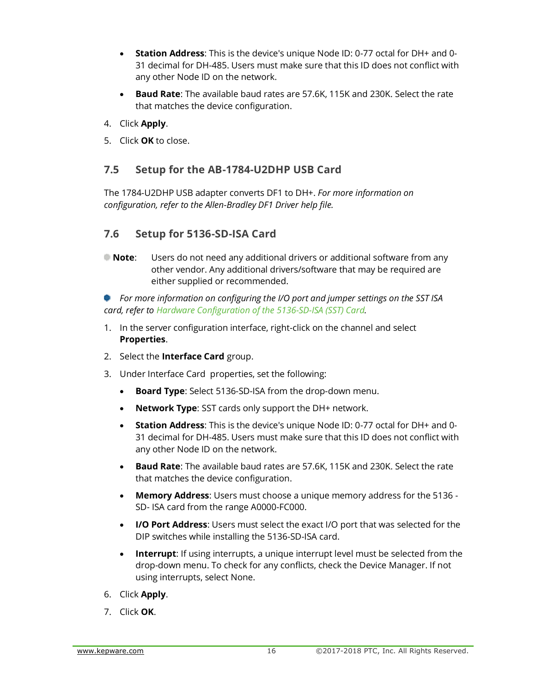- **Station Address**: This is the device's unique Node ID: 0-77 octal for DH+ and 0- 31 decimal for DH-485. Users must make sure that this ID does not conflict with any other Node ID on the network.
- **Baud Rate**: The available baud rates are 57.6K, 115K and 230K. Select the rate that matches the device configuration.
- 4. Click **Apply**.
- 5. Click **OK** to close.

#### **7.5 Setup for the AB-1784-U2DHP USB Card**

The 1784-U2DHP USB adapter converts DF1 to DH+. *For more information on configuration, refer to the Allen-Bradley DF1 Driver help file.*

#### **7.6 Setup for 5136-SD-ISA Card**

**Note**: Users do not need any additional drivers or additional software from any other vendor. Any additional drivers/software that may be required are either supplied or recommended.

*For more information on configuring the I/O port and jumper settings on the SST ISA card, refer to [Hardware Configuration of the 5136-SD-ISA \(SST\) Card.](file:///C:/WIP/Workspaces/KWS_KS_5.21_OEMS_QA/Help/Drivers/ALLENBRADLEY%20DATA%20HIGHWAY/Content/allenbradley_datahighway/Hardware_Configuration_of_5136-SD-ISA_(SST)_card.htm)*

- 1. In the server configuration interface, right-click on the channel and select **Properties**.
- 2. Select the **Interface Card** group.
- 3. Under Interface Card properties, set the following:
	- **Board Type**: Select 5136-SD-ISA from the drop-down menu.
	- **Network Type**: SST cards only support the DH+ network.
	- **Station Address**: This is the device's unique Node ID: 0-77 octal for DH+ and 0- 31 decimal for DH-485. Users must make sure that this ID does not conflict with any other Node ID on the network.
	- **Baud Rate**: The available baud rates are 57.6K, 115K and 230K. Select the rate that matches the device configuration.
	- **Memory Address**: Users must choose a unique memory address for the 5136 SD- ISA card from the range A0000-FC000.
	- **I/O Port Address**: Users must select the exact I/O port that was selected for the DIP switches while installing the 5136-SD-ISA card.
	- **Interrupt**: If using interrupts, a unique interrupt level must be selected from the drop-down menu. To check for any conflicts, check the [Device Manager.](file:///C:/WIP/Workspaces/KWS_KS_5.21_OEMS_QA/Help/Drivers/ALLENBRADLEY%20DATA%20HIGHWAY/Content/allenbradley_datahighway/Check_Device_Manager.htm) If not using interrupts, select None.
- 6. Click **Apply**.
- 7. Click **OK**.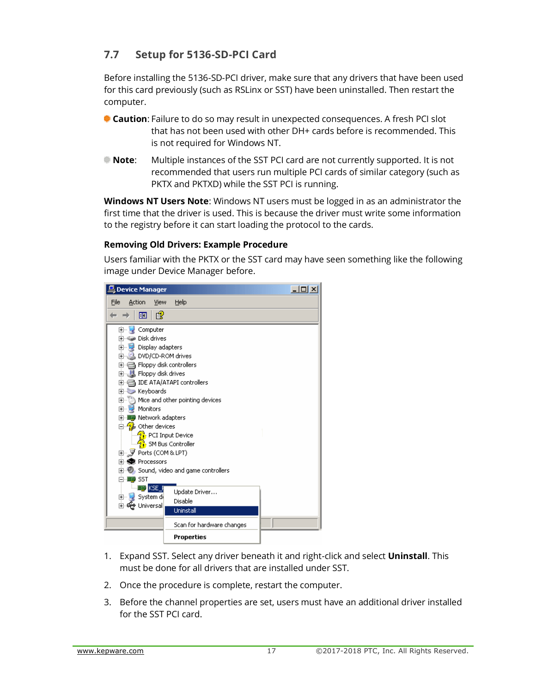## **7.7 Setup for 5136-SD-PCI Card**

Before installing the 5136-SD-PCI driver, make sure that any drivers that have been used for this card previously (such as RSLinx or SST) have been uninstalled. Then restart the computer.

- **Caution**: Failure to do so may result in unexpected consequences. A fresh PCI slot that has not been used with other DH+ cards before is recommended. This is not required for Windows NT.
- **Note**: Multiple instances of the SST PCI card are not currently supported. It is not recommended that users run multiple PCI cards of similar category (such as PKTX and PKTXD) while the SST PCI is running.

**Windows NT Users Note**: Windows NT users must be logged in as an administrator the first time that the driver is used. This is because the driver must write some information to the registry before it can start loading the protocol to the cards.

#### **Removing Old Drivers: Example Procedure**

Users familiar with the PKTX or the SST card may have seen something like the following image under Device Manager before.

| 鳥 Device Manager                                                                                                                                                                                                                                                                                                                                                                                                                 |                                                                                                                                                                              | $  \Box $ $\times$ |
|----------------------------------------------------------------------------------------------------------------------------------------------------------------------------------------------------------------------------------------------------------------------------------------------------------------------------------------------------------------------------------------------------------------------------------|------------------------------------------------------------------------------------------------------------------------------------------------------------------------------|--------------------|
| File<br>Action<br>View                                                                                                                                                                                                                                                                                                                                                                                                           | Help                                                                                                                                                                         |                    |
| ぽ<br>囨                                                                                                                                                                                                                                                                                                                                                                                                                           |                                                                                                                                                                              |                    |
| Computer<br>$\overline{+}$ .<br>中 ● Disk drives<br>由 2 Display adapters<br>由 3 DVD/CD-ROM drives<br>由 冒 Floppy disk controllers<br>田 山 Floppy disk drives<br>⊡ , IDE ATA/ATAPI controllers<br>El Keyboards<br>Monitors<br>F U<br>由 图 Network adapters<br>⊟ 2 Other devices<br>由- J Ports (COM & LPT)<br>田· <b>蠍</b> Processors<br>白· <del>哩》</del> SST<br>理 <mark>)</mark> KSE_F<br>System di<br>田…!<br>画 <del>《</del> Universal | 田…【》 Mice and other pointing devices<br><b>Pr</b> PCI Input Device<br>⊹ SM Bus Controller<br>田 ②, Sound, video and game controllers<br>Update Driver<br>Disable<br>Uninstall |                    |
|                                                                                                                                                                                                                                                                                                                                                                                                                                  | Scan for hardware changes                                                                                                                                                    |                    |
|                                                                                                                                                                                                                                                                                                                                                                                                                                  | Properties                                                                                                                                                                   |                    |

- 1. Expand SST. Select any driver beneath it and right-click and select **Uninstall**. This must be done for all drivers that are installed under SST.
- 2. Once the procedure is complete, restart the computer.
- 3. Before the channel properties are set, users must have an additional driver installed for the SST PCI card.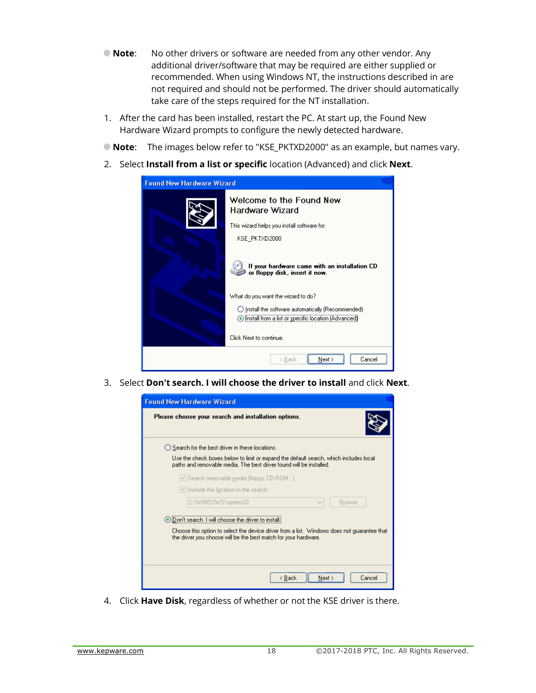- **Note:** No other drivers or software are needed from any other vendor. Any additional driver/software that may be required are either supplied or recommended. When using Windows NT, the instructions described in are not required and should not be performed. The driver should automatically take care of the steps required for the NT installation.
- 1. After the card has been installed, restart the PC. At start up, the Found New Hardware Wizard prompts to configure the newly detected hardware.
- **Note**: The images below refer to "KSE\_PKTXD2000" as an example, but names vary.
- 2. Select **Install from a list or specific** location (Advanced) and click **Next**.

| <b>Found New Hardware Wizard</b> |                                                                                                          |  |  |
|----------------------------------|----------------------------------------------------------------------------------------------------------|--|--|
|                                  | Welcome to the Found New<br>Hardware Wizard                                                              |  |  |
|                                  | This wizard helps you install software for:                                                              |  |  |
|                                  | KSE PKTXD2000                                                                                            |  |  |
|                                  | If your hardware came with an installation CD<br>or floppy disk, insert it now.                          |  |  |
|                                  | What do you want the wizard to do?                                                                       |  |  |
|                                  | ◯ Install the software automatically (Recommended)<br>nstall from a list or specific location (Advanced) |  |  |
|                                  | Click Next to continue.                                                                                  |  |  |
|                                  | Next ><br>Cancel<br>< Back                                                                               |  |  |

3. Select **Don't search. I will choose the driver to install** and click **Next**.

| <b>Found New Hardware Wizard</b>                                                                                                                                                                                                |
|---------------------------------------------------------------------------------------------------------------------------------------------------------------------------------------------------------------------------------|
| Please choose your search and installation options.                                                                                                                                                                             |
| ◯ Search for the best driver in these locations.                                                                                                                                                                                |
| Use the check boxes below to limit or expand the default search, which includes local<br>paths and removable media. The best driver found will be installed.                                                                    |
| √ Search removable media (floppy, CD-ROM)                                                                                                                                                                                       |
| $\vee$ Include this location in the search:                                                                                                                                                                                     |
| C:\WINDOWS\system32<br><b>Browse</b><br>$\sim$                                                                                                                                                                                  |
| $\bigodot$ Don't search. I will choose the driver to install.<br>Choose this option to select the device driver from a list. Windows does not guarantee that<br>the driver you choose will be the best match for your hardware. |
|                                                                                                                                                                                                                                 |
| < Back<br>Next ><br>Cancel                                                                                                                                                                                                      |

4. Click **Have Disk**, regardless of whether or not the KSE driver is there.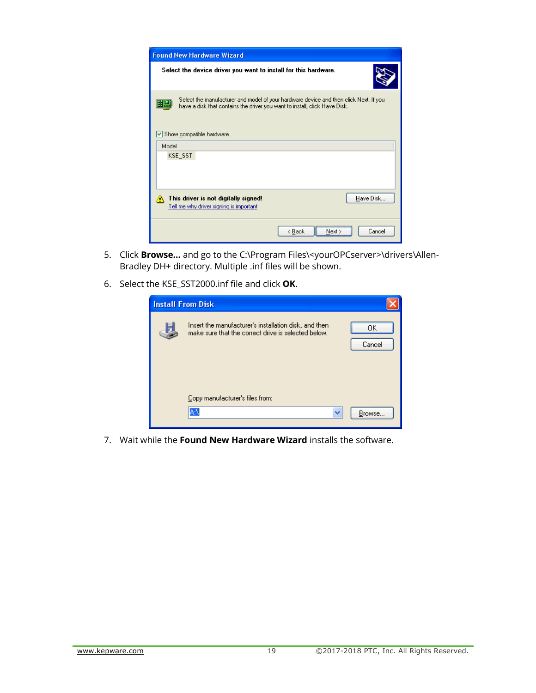| <b>Found New Hardware Wizard</b>                                                                                                                                                                                               |
|--------------------------------------------------------------------------------------------------------------------------------------------------------------------------------------------------------------------------------|
| Select the device driver you want to install for this hardware.                                                                                                                                                                |
| Select the manufacturer and model of your hardware device and then click Next. If you<br>ur<br>have a disk that contains the driver you want to install, click Have Disk.<br>$\vert \checkmark \vert$ Show compatible hardware |
| Model                                                                                                                                                                                                                          |
| KSE SST                                                                                                                                                                                                                        |
| Have Disk<br>This driver is not digitally signed!<br>Tell me why driver signing is important                                                                                                                                   |
| Cancel<br>< Back<br>Next >                                                                                                                                                                                                     |

- 5. Click **Browse...** and go to the C:\Program Files\<yourOPCserver>\drivers\Allen-Bradley DH+ directory. Multiple .inf files will be shown.
- 6. Select the KSE\_SST2000.inf file and click **OK**.

| <b>Install From Disk</b>                                                                                                     |
|------------------------------------------------------------------------------------------------------------------------------|
| Insert the manufacturer's installation disk, and then<br>OΚ<br>make sure that the correct drive is selected below.<br>Cancel |
| Copy manufacturer's files from:<br>A۸<br>w<br>Browse                                                                         |

7. Wait while the **Found New Hardware Wizard** installs the software.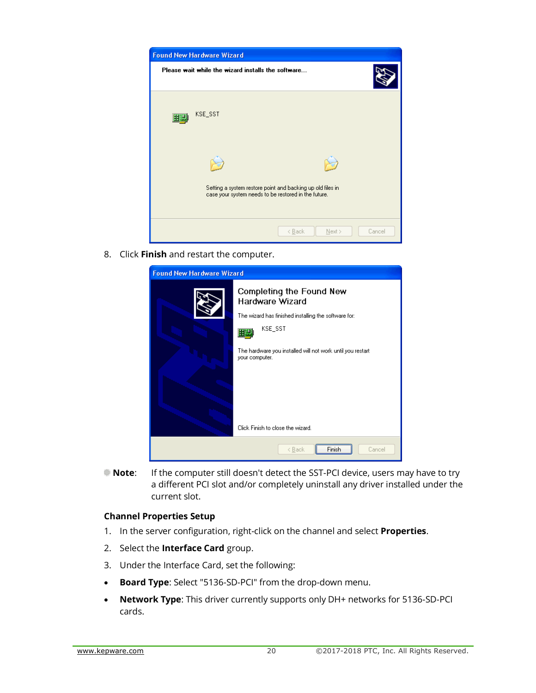

8. Click **Finish** and restart the computer.

| <b>Found New Hardware Wizard</b> |                                                                                                                                                                                                       |  |  |
|----------------------------------|-------------------------------------------------------------------------------------------------------------------------------------------------------------------------------------------------------|--|--|
|                                  | Completing the Found New<br><b>Hardware Wizard</b><br>The wizard has finished installing the software for:<br>KSE_SST<br>The hardware you installed will not work until you restart<br>your computer. |  |  |
|                                  | Click Finish to close the wizard.                                                                                                                                                                     |  |  |
|                                  | Cancel<br>< Back                                                                                                                                                                                      |  |  |

**Note:** If the computer still doesn't detect the SST-PCI device, users may have to try a different PCI slot and/or completely uninstall any driver installed under the current slot.

#### **Channel Properties Setup**

- 1. In the server configuration, right-click on the channel and select **Properties**.
- 2. Select the **Interface Card** group.
- 3. Under the Interface Card, set the following:
- **Board Type**: Select "5136-SD-PCI" from the drop-down menu.
- **Network Type**: This driver currently supports only DH+ networks for 5136-SD-PCI cards.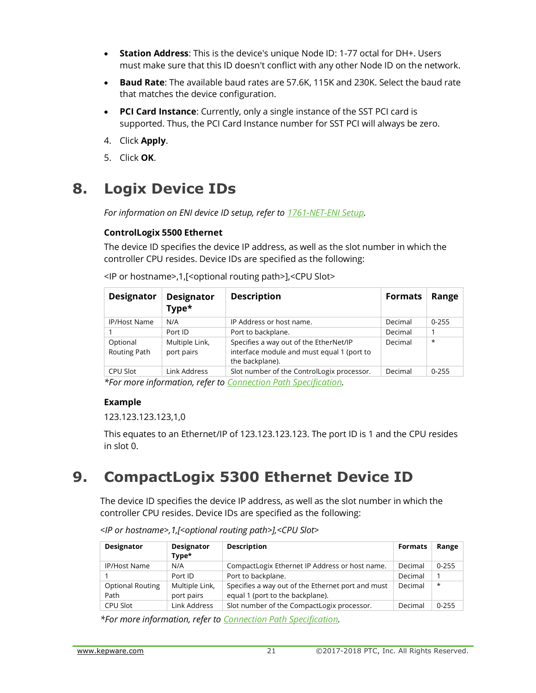- **Station Address**: This is the device's unique Node ID: 1-77 octal for DH+. Users must make sure that this ID doesn't conflict with any other Node ID on the network.
- **Baud Rate**: The available baud rates are 57.6K, 115K and 230K. Select the baud rate that matches the device configuration.
- **PCI Card Instance**: Currently, only a single instance of the SST PCI card is supported. Thus, the PCI Card Instance number for SST PCI will always be zero.
- 4. Click **Apply**.
- 5. Click **OK**.

# **8. Logix Device IDs**

*For information on ENI device ID setup, refer to [1761-NET-ENI](file:///C:/WIP/Workspaces/KWS_KS_5.21_OEMS_QA/Help/Drivers/CONTROLLOGIX%20ETHERNET/Content/CONTROLLOGIX_ETHERNET/1761_NET_ENI.htm) Setup.*

#### **ControlLogix 5500 Ethernet**

The device ID specifies the device IP address, as well as the slot number in which the controller CPU resides. Device IDs are specified as the following:

| <b>Designator</b>        | <b>Designator</b><br>Type*   | <b>Description</b>                                                                                      | <b>Formats</b> | Range     |
|--------------------------|------------------------------|---------------------------------------------------------------------------------------------------------|----------------|-----------|
| <b>IP/Host Name</b>      | N/A                          | IP Address or host name.                                                                                | Decimal        | $0 - 255$ |
|                          | Port ID                      | Port to backplane.                                                                                      | Decimal        |           |
| Optional<br>Routing Path | Multiple Link,<br>port pairs | Specifies a way out of the EtherNet/IP<br>interface module and must equal 1 (port to<br>the backplane). | Decimal        | $\star$   |
| CPU Slot                 | Link Address                 | Slot number of the ControlLogix processor.                                                              | Decimal        | $0 - 255$ |

<IP or hostname>,1,[<optional routing path>],<CPU Slot>

*\*For more information, refer to [Connection Path Specification.](file:///C:/WIP/Workspaces/KWS_KS_5.21_OEMS_QA/Help/Drivers/CONTROLLOGIX%20ETHERNET/Content/CONTROLLOGIX_ETHERNET/Connection_Path_Specification.htm)*

#### **Example**

123.123.123.123,1,0

This equates to an Ethernet/IP of 123.123.123.123. The port ID is 1 and the CPU resides in slot 0.

# **9. CompactLogix 5300 Ethernet Device ID**

The device ID specifies the device IP address, as well as the slot number in which the controller CPU resides. Device IDs are specified as the following:

| Designator                      | <b>Designator</b><br>Type*   | <b>Description</b>                                                                    | <b>Formats</b> | Range     |
|---------------------------------|------------------------------|---------------------------------------------------------------------------------------|----------------|-----------|
| <b>IP/Host Name</b>             | N/A                          | CompactLogix Ethernet IP Address or host name.                                        | Decimal        | $0 - 255$ |
|                                 | Port ID                      | Port to backplane.                                                                    | Decimal        |           |
| <b>Optional Routing</b><br>Path | Multiple Link,<br>port pairs | Specifies a way out of the Ethernet port and must<br>equal 1 (port to the backplane). | Decimal        | $\star$   |
| CPU Slot                        | Link Address                 | Slot number of the CompactLogix processor.                                            | Decimal        | $0 - 255$ |

*<IP or hostname>,1,[<optional routing path>],<CPU Slot>*

*\*For more information, refer to [Connection Path Specification.](file:///C:/WIP/Workspaces/KWS_KS_5.21_OEMS_QA/Help/Drivers/CONTROLLOGIX%20ETHERNET/Content/CONTROLLOGIX_ETHERNET/Connection_Path_Specification.htm)*